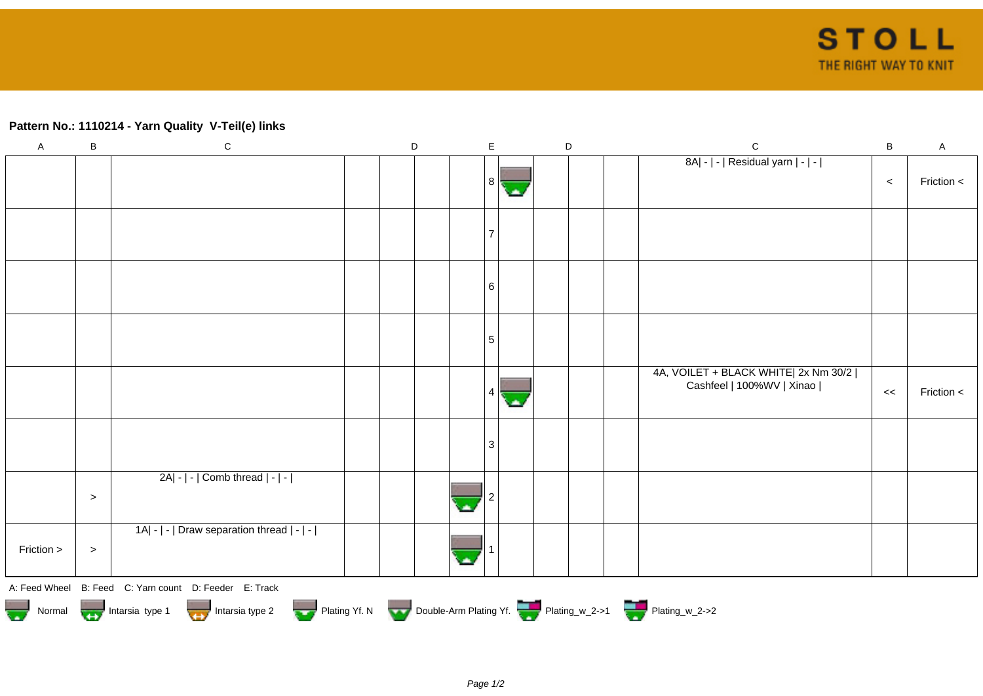## **Pattern No.: 1110214 - Yarn Quality V-Teil(e) links**

| $\mathsf A$ | $\, {\bf B}$ | $\mathsf C$                                                                                                                                              | D |  | $\mathsf E$ |        | D | $\mathsf{C}$                                                        | $\sf B$ | $\mathsf{A}$ |
|-------------|--------------|----------------------------------------------------------------------------------------------------------------------------------------------------------|---|--|-------------|--------|---|---------------------------------------------------------------------|---------|--------------|
|             |              |                                                                                                                                                          |   |  | 8           | olin ( |   | 8A  -   -   Residual yarn   -   -                                   | $\,<$   | Friction <   |
|             |              |                                                                                                                                                          |   |  |             |        |   |                                                                     |         |              |
|             |              |                                                                                                                                                          |   |  | 6           |        |   |                                                                     |         |              |
|             |              |                                                                                                                                                          |   |  | 5           |        |   |                                                                     |         |              |
|             |              |                                                                                                                                                          |   |  | 4           |        |   | 4A, VOILET + BLACK WHITE  2x Nm 30/2  <br>Cashfeel   100%WV   Xinao | $\,<$   | Friction $<$ |
|             |              |                                                                                                                                                          |   |  | 3           |        |   |                                                                     |         |              |
|             | $\,>$        | $2A - - $ Comb thread $ - - $                                                                                                                            |   |  |             |        |   |                                                                     |         |              |
| Friction >  | $\,>$        | 1A  -   -   Draw separation thread   -   -                                                                                                               |   |  |             |        |   |                                                                     |         |              |
|             |              | A: Feed Wheel B: Feed C: Yarn count D: Feeder E: Track<br>Normal Intarsia type 1 Intarsia type 2 Plating Yf. N Double-Arm Plating Yf. The Plating w_2->1 |   |  |             |        |   |                                                                     |         |              |